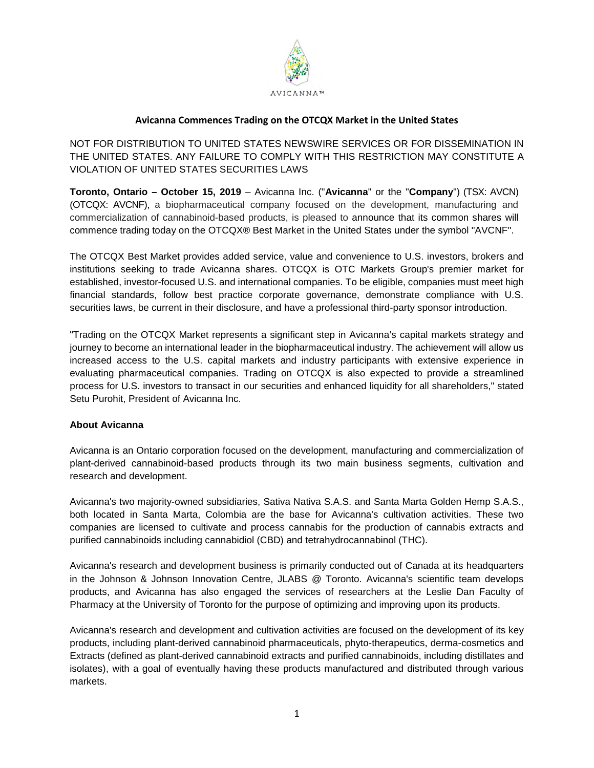

# **Avicanna Commences Trading on the OTCQX Market in the United States**

NOT FOR DISTRIBUTION TO UNITED STATES NEWSWIRE SERVICES OR FOR DISSEMINATION IN THE UNITED STATES. ANY FAILURE TO COMPLY WITH THIS RESTRICTION MAY CONSTITUTE A VIOLATION OF UNITED STATES SECURITIES LAWS

**Toronto, Ontario – October 15, 2019** – Avicanna Inc. ("**Avicanna**" or the "**Company**") (TSX: AVCN) (OTCQX: AVCNF), a biopharmaceutical company focused on the development, manufacturing and commercialization of cannabinoid-based products, is pleased to announce that its common shares will commence trading today on the OTCQX® Best Market in the United States under the symbol "AVCNF".

The OTCQX Best Market provides added service, value and convenience to U.S. investors, brokers and institutions seeking to trade Avicanna shares. OTCQX is OTC Markets Group's premier market for established, investor-focused U.S. and international companies. To be eligible, companies must meet high financial standards, follow best practice corporate governance, demonstrate compliance with U.S. securities laws, be current in their disclosure, and have a professional third-party sponsor introduction.

"Trading on the OTCQX Market represents a significant step in Avicanna's capital markets strategy and journey to become an international leader in the biopharmaceutical industry. The achievement will allow us increased access to the U.S. capital markets and industry participants with extensive experience in evaluating pharmaceutical companies. Trading on OTCQX is also expected to provide a streamlined process for U.S. investors to transact in our securities and enhanced liquidity for all shareholders," stated Setu Purohit, President of Avicanna Inc.

#### **About Avicanna**

Avicanna is an Ontario corporation focused on the development, manufacturing and commercialization of plant-derived cannabinoid-based products through its two main business segments, cultivation and research and development.

Avicanna's two majority-owned subsidiaries, Sativa Nativa S.A.S. and Santa Marta Golden Hemp S.A.S., both located in Santa Marta, Colombia are the base for Avicanna's cultivation activities. These two companies are licensed to cultivate and process cannabis for the production of cannabis extracts and purified cannabinoids including cannabidiol (CBD) and tetrahydrocannabinol (THC).

Avicanna's research and development business is primarily conducted out of Canada at its headquarters in the Johnson & Johnson Innovation Centre, JLABS @ Toronto. Avicanna's scientific team develops products, and Avicanna has also engaged the services of researchers at the Leslie Dan Faculty of Pharmacy at the University of Toronto for the purpose of optimizing and improving upon its products.

Avicanna's research and development and cultivation activities are focused on the development of its key products, including plant-derived cannabinoid pharmaceuticals, phyto-therapeutics, derma-cosmetics and Extracts (defined as plant-derived cannabinoid extracts and purified cannabinoids, including distillates and isolates), with a goal of eventually having these products manufactured and distributed through various markets.